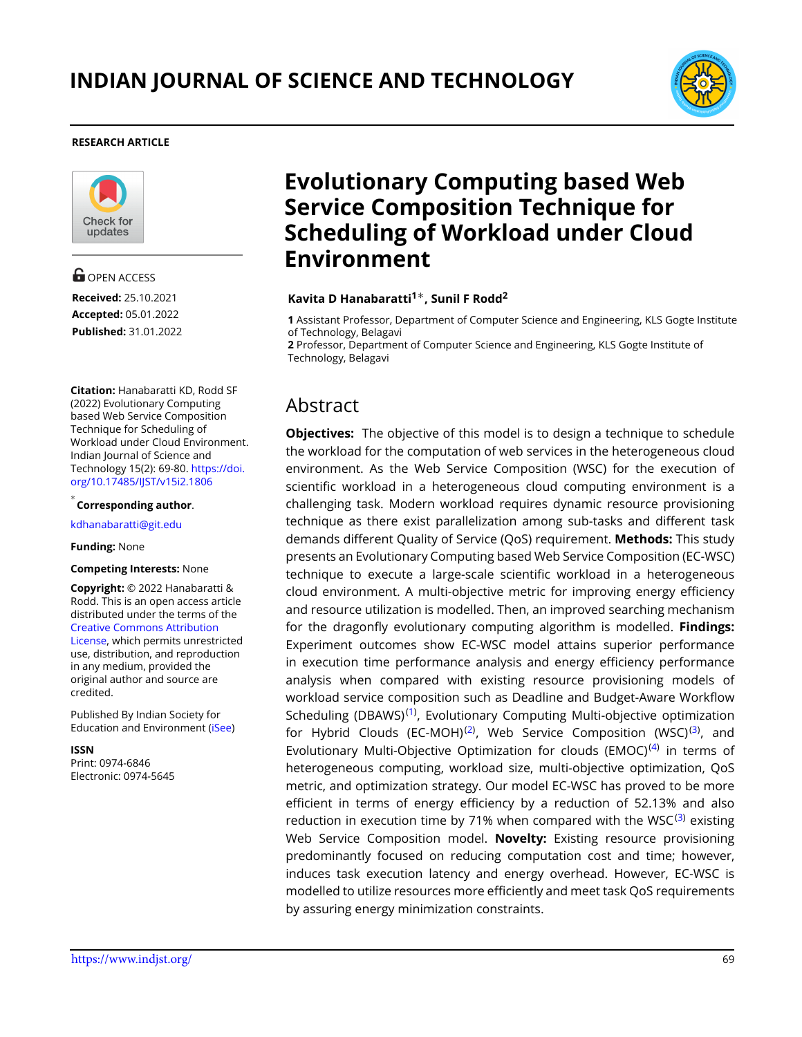

#### **RESEARCH ARTICLE**



**G** OPEN ACCESS **Received:** 25.10.2021 **Accepted:** 05.01.2022 **Published:** 31.01.2022

**Citation:** Hanabaratti KD, Rodd SF (2022) Evolutionary Computing based Web Service Composition Technique for Scheduling of Workload under Cloud Environment. Indian Journal of Science and Technology 15(2): 69-80. [https://doi.](https://doi.org/10.17485/IJST/v15i2.1806) [org/10.17485/IJST/v15i2.1806](https://doi.org/10.17485/IJST/v15i2.1806)

*∗* **Corresponding author**.

<kdhanabaratti@git.edu>

#### **Funding:** None

#### **Competing Interests:** None

**Copyright:** © 2022 Hanabaratti & Rodd. This is an open access article distributed under the terms of the [Creative Commons Attribution](https://creativecommons.org/licenses/by/4.0/) [License,](https://creativecommons.org/licenses/by/4.0/) which permits unrestricted use, distribution, and reproduction in any medium, provided the original author and source are credited.

Published By Indian Society for Education and Environment([iSee\)](www.iseeadyar.org.)

**ISSN**

Print: 0974-6846 Electronic: 0974-5645

# **Evolutionary Computing based Web Service Composition Technique for Scheduling of Workload under Cloud Environment**

## **Kavita D Hanabaratti<sup>1</sup>***∗***, Sunil F Rodd<sup>2</sup>**

**1** Assistant Professor, Department of Computer Science and Engineering, KLS Gogte Institute of Technology, Belagavi

**2** Professor, Department of Computer Science and Engineering, KLS Gogte Institute of Technology, Belagavi

# Abstract

**Objectives:** The objective of this model is to design a technique to schedule the workload for the computation of web services in the heterogeneous cloud environment. As the Web Service Composition (WSC) for the execution of scientific workload in a heterogeneous cloud computing environment is a challenging task. Modern workload requires dynamic resource provisioning technique as there exist parallelization among sub-tasks and different task demands different Quality of Service (QoS) requirement. **Methods:** This study presents an Evolutionary Computing based Web Service Composition (EC-WSC) technique to execute a large-scale scientific workload in a heterogeneous cloud environment. A multi-objective metric for improving energy efficiency and resource utilization is modelled. Then, an improved searching mechanism for the dragonfly evolutionary computing algorithm is modelled. **Findings:** Experiment outcomes show EC-WSC model attains superior performance in execution time performance analysis and energy efficiency performance analysis when compared with existing resource provisioning models of workload service composition such as Deadline and Budget-Aware Workflow Scheduling (DBAWS)<sup>[\(1](#page-11-0))</sup>, Evolutionary Computing Multi-objective optimization for Hybrid Clouds (EC-MOH)<sup>([2\)](#page-11-1)</sup>, Web Service Composition (WSC)<sup>([3\)](#page-11-2)</sup>, and Evolutionary Multi-Objective Optimization for clouds (EMOC)<sup>([4\)](#page-11-3)</sup> in terms of heterogeneous computing, workload size, multi-objective optimization, QoS metric, and optimization strategy. Our model EC-WSC has proved to be more efficient in terms of energy efficiency by a reduction of 52.13% and also reduction in execution time by 71% when compared with the WSC $^{(3)}$  $^{(3)}$  $^{(3)}$  existing Web Service Composition model. **Novelty:** Existing resource provisioning predominantly focused on reducing computation cost and time; however, induces task execution latency and energy overhead. However, EC-WSC is modelled to utilize resources more efficiently and meet task QoS requirements by assuring energy minimization constraints.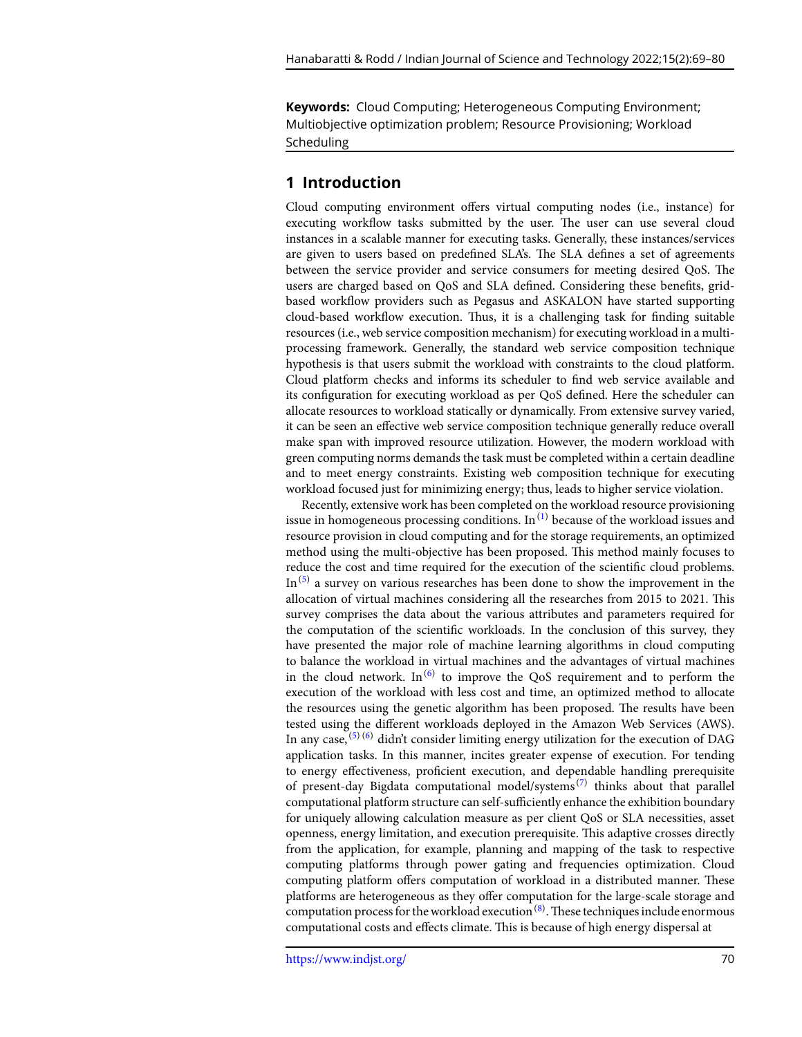**Keywords:** Cloud Computing; Heterogeneous Computing Environment; Multiobjective optimization problem; Resource Provisioning; Workload Scheduling

# **1 Introduction**

Cloud computing environment offers virtual computing nodes (i.e., instance) for executing workflow tasks submitted by the user. The user can use several cloud instances in a scalable manner for executing tasks. Generally, these instances/services are given to users based on predefined SLA's. The SLA defines a set of agreements between the service provider and service consumers for meeting desired QoS. The users are charged based on QoS and SLA defined. Considering these benefits, gridbased workflow providers such as Pegasus and ASKALON have started supporting cloud-based workflow execution. Thus, it is a challenging task for finding suitable resources (i.e., web service composition mechanism) for executing workload in a multiprocessing framework. Generally, the standard web service composition technique hypothesis is that users submit the workload with constraints to the cloud platform. Cloud platform checks and informs its scheduler to find web service available and its configuration for executing workload as per QoS defined. Here the scheduler can allocate resources to workload statically or dynamically. From extensive survey varied, it can be seen an effective web service composition technique generally reduce overall make span with improved resource utilization. However, the modern workload with green computing norms demands the task must be completed within a certain deadline and to meet energy constraints. Existing web composition technique for executing workload focused just for minimizing energy; thus, leads to higher service violation.

Recently, extensive work has been completed on the workload resource provisioning issue in homogeneous processing conditions. In<sup>([1](#page-11-0))</sup> because of the workload issues and resource provision in cloud computing and for the storage requirements, an optimized method using the multi-objective has been proposed. This method mainly focuses to reduce the cost and time required for the execution of the scientific cloud problems. In  ${}^{(5)}$  ${}^{(5)}$  ${}^{(5)}$  a survey on various researches has been done to show the improvement in the allocation of virtual machines considering all the researches from 2015 to 2021. This survey comprises the data about the various attributes and parameters required for the computation of the scientific workloads. In the conclusion of this survey, they have presented the major role of machine learning algorithms in cloud computing to balance the workload in virtual machines and the advantages of virtual machines in the cloud network. In<sup>[\(6\)](#page-11-5)</sup> to improve the QoS requirement and to perform the execution of the workload with less cost and time, an optimized method to allocate the resources using the genetic algorithm has been proposed. The results have been tested using the different workloads deployed in the Amazon Web Services (AWS). In any case,  $(5)(6)$  $(5)(6)$  $(5)(6)$  didn't consider limiting energy utilization for the execution of DAG application tasks. In this manner, incites greater expense of execution. For tending to energy effectiveness, proficient execution, and dependable handling prerequisite of present-day Bigdata computational model/systems<sup>([7](#page-11-6))</sup> thinks about that parallel computational platform structure can self-sufficiently enhance the exhibition boundary for uniquely allowing calculation measure as per client QoS or SLA necessities, asset openness, energy limitation, and execution prerequisite. This adaptive crosses directly from the application, for example, planning and mapping of the task to respective computing platforms through power gating and frequencies optimization. Cloud computing platform offers computation of workload in a distributed manner. These platforms are heterogeneous as they offer computation for the large-scale storage and computation process for the workload execution <sup>[\(8\)](#page-11-7)</sup>. These techniques include enormous computational costs and effects climate. This is because of high energy dispersal at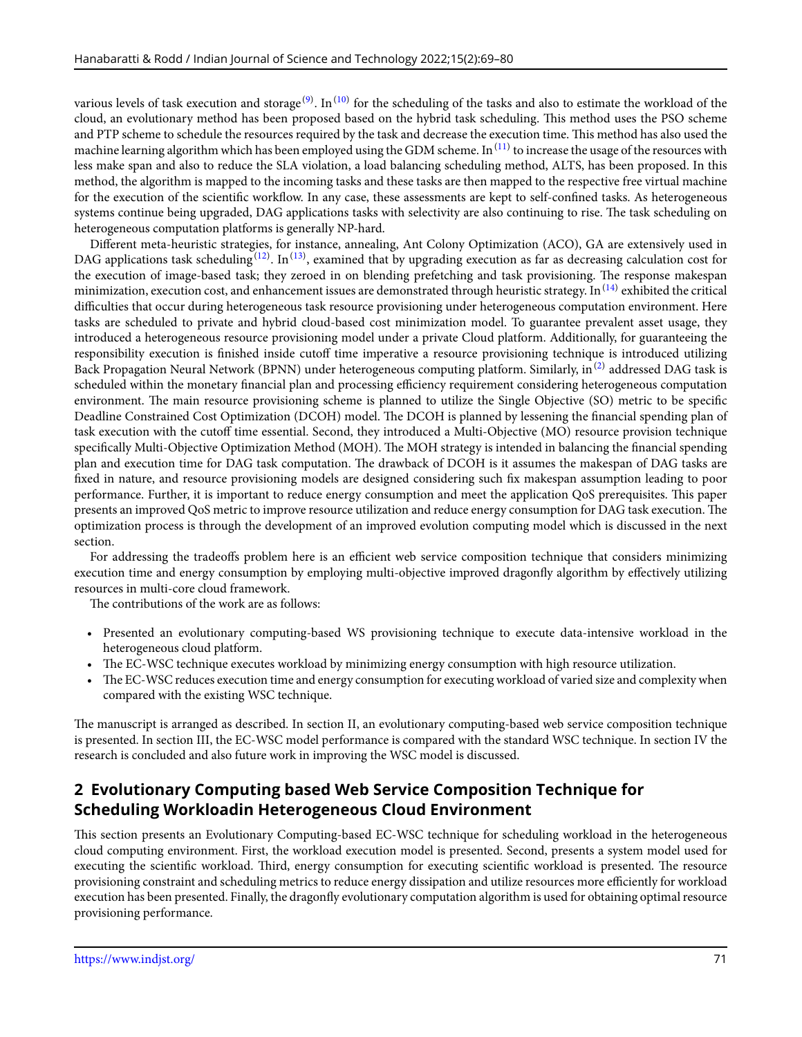various levels of task execution and storage<sup>[\(9\)](#page-11-8)</sup>. In<sup>[\(10](#page-11-9))</sup> for the scheduling of the tasks and also to estimate the workload of the cloud, an evolutionary method has been proposed based on the hybrid task scheduling. This method uses the PSO scheme and PTP scheme to schedule the resources required by the task and decrease the execution time. This method has also used the machine learning algorithm which has been employed using the GDM scheme. In  $^{(11)}$  $^{(11)}$  $^{(11)}$  to increase the usage of the resources with less make span and also to reduce the SLA violation, a load balancing scheduling method, ALTS, has been proposed. In this method, the algorithm is mapped to the incoming tasks and these tasks are then mapped to the respective free virtual machine for the execution of the scientific workflow. In any case, these assessments are kept to self-confined tasks. As heterogeneous systems continue being upgraded, DAG applications tasks with selectivity are also continuing to rise. The task scheduling on heterogeneous computation platforms is generally NP-hard.

Different meta-heuristic strategies, for instance, annealing, Ant Colony Optimization (ACO), GA are extensively used in DAG applications task scheduling  $^{(12)}$  $^{(12)}$  $^{(12)}$ . In  $^{(13)}$  $^{(13)}$  $^{(13)}$ , examined that by upgrading execution as far as decreasing calculation cost for the execution of image-based task; they zeroed in on blending prefetching and task provisioning. The response makespan minimization, execution cost, and enhancement issues are demonstrated through heuristic strategy. In  $^{(14)}$  $^{(14)}$  $^{(14)}$  exhibited the critical difficulties that occur during heterogeneous task resource provisioning under heterogeneous computation environment. Here tasks are scheduled to private and hybrid cloud-based cost minimization model. To guarantee prevalent asset usage, they introduced a heterogeneous resource provisioning model under a private Cloud platform. Additionally, for guaranteeing the responsibility execution is finished inside cutoff time imperative a resource provisioning technique is introduced utilizing Back Propagation Neural Network (BPNN) under heterogeneous computing platform. Similarly, in  $^{(2)}$  $^{(2)}$  $^{(2)}$  addressed DAG task is scheduled within the monetary financial plan and processing efficiency requirement considering heterogeneous computation environment. The main resource provisioning scheme is planned to utilize the Single Objective (SO) metric to be specific Deadline Constrained Cost Optimization (DCOH) model. The DCOH is planned by lessening the financial spending plan of task execution with the cutoff time essential. Second, they introduced a Multi-Objective (MO) resource provision technique specifically Multi-Objective Optimization Method (MOH). The MOH strategy is intended in balancing the financial spending plan and execution time for DAG task computation. The drawback of DCOH is it assumes the makespan of DAG tasks are fixed in nature, and resource provisioning models are designed considering such fix makespan assumption leading to poor performance. Further, it is important to reduce energy consumption and meet the application QoS prerequisites. This paper presents an improved QoS metric to improve resource utilization and reduce energy consumption for DAG task execution. The optimization process is through the development of an improved evolution computing model which is discussed in the next section.

For addressing the tradeoffs problem here is an efficient web service composition technique that considers minimizing execution time and energy consumption by employing multi-objective improved dragonfly algorithm by effectively utilizing resources in multi-core cloud framework.

The contributions of the work are as follows:

- Presented an evolutionary computing-based WS provisioning technique to execute data-intensive workload in the heterogeneous cloud platform.
- The EC-WSC technique executes workload by minimizing energy consumption with high resource utilization.
- The EC-WSC reduces execution time and energy consumption for executing workload of varied size and complexity when compared with the existing WSC technique.

The manuscript is arranged as described. In section II, an evolutionary computing-based web service composition technique is presented. In section III, the EC-WSC model performance is compared with the standard WSC technique. In section IV the research is concluded and also future work in improving the WSC model is discussed.

# **2 Evolutionary Computing based Web Service Composition Technique for Scheduling Workloadin Heterogeneous Cloud Environment**

This section presents an Evolutionary Computing-based EC-WSC technique for scheduling workload in the heterogeneous cloud computing environment. First, the workload execution model is presented. Second, presents a system model used for executing the scientific workload. Third, energy consumption for executing scientific workload is presented. The resource provisioning constraint and scheduling metrics to reduce energy dissipation and utilize resources more efficiently for workload execution has been presented. Finally, the dragonfly evolutionary computation algorithm is used for obtaining optimal resource provisioning performance.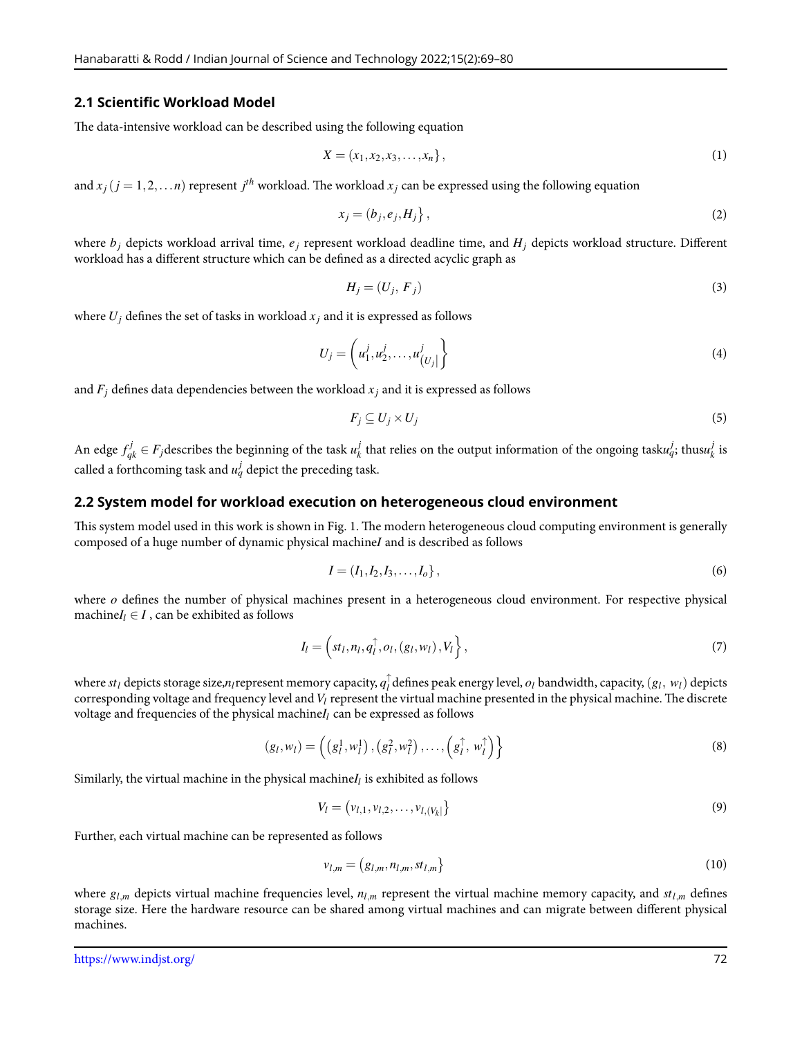#### **2.1 Scientific Workload Model**

The data-intensive workload can be described using the following equation

$$
X = (x_1, x_2, x_3, \dots, x_n),
$$
 (1)

and  $x_j$   $(j = 1, 2, \ldots n)$  represent  $j^{th}$  workload. The workload  $x_j$  can be expressed using the following equation

$$
x_j = (b_j, e_j, H_j), \tag{2}
$$

where  $b_j$  depicts workload arrival time,  $e_j$  represent workload deadline time, and  $H_j$  depicts workload structure. Different workload has a different structure which can be defined as a directed acyclic graph as

$$
H_j = (U_j, F_j) \tag{3}
$$

where  $U_j$  defines the set of tasks in workload  $x_j$  and it is expressed as follows

$$
U_j = \left(u_1^j, u_2^j, \dots, u_{\left(U_j\right)}^j\right) \tag{4}
$$

and  $F_i$  defines data dependencies between the workload  $x_i$  and it is expressed as follows

$$
F_j \subseteq U_j \times U_j \tag{5}
$$

An edge  $f_{qk}^j \in F_j$ describes the beginning of the task  $u_k^j$  $\frac{d}{dt}$  that relies on the output information of the ongoing task $u^j_q$ ; thus $u^j_k$  $\frac{J}{k}$  is called a forthcoming task and  $u_q^j$  depict the preceding task.

#### **2.2 System model for workload execution on heterogeneous cloud environment**

This system model used in this work is shown in Fig. 1. The modern heterogeneous cloud computing environment is generally composed of a huge number of dynamic physical machine*I* and is described as follows

$$
I = (I_1, I_2, I_3, \dots, I_o), \tag{6}
$$

where *o* defines the number of physical machines present in a heterogeneous cloud environment. For respective physical machine $I_l \in I$ , can be exhibited as follows

$$
I_l = \left(st_l, n_l, q_l^{\uparrow}, o_l, (g_l, w_l), V_l\right\},\tag{7}
$$

where  $st_l$  depicts storage size, $n_l$ represent memory capacity,  $q_l^\uparrow$  $l$ <sup> $\bar{l}$ </sup> defines peak energy level,  $o_l$  bandwidth, capacity,  $(g_l, w_l)$  depicts corresponding voltage and frequency level and*V<sup>l</sup>* represent the virtual machine presented in the physical machine. The discrete voltage and frequencies of the physical machine*I<sup>l</sup>* can be expressed as follows

$$
(g_l, w_l) = \left( \left( g_l^1, w_l^1 \right), \left( g_l^2, w_l^2 \right), \dots, \left( g_l^\uparrow, w_l^\uparrow \right) \right) \tag{8}
$$

Similarly, the virtual machine in the physical machine*I<sup>l</sup>* is exhibited as follows

$$
V_l = (v_{l,1}, v_{l,2}, \dots, v_{l,(V_k)})
$$
\n(9)

Further, each virtual machine can be represented as follows

$$
v_{l,m} = (g_{l,m}, n_{l,m}, st_{l,m})
$$
\n(10)

where  $g_{l,m}$  depicts virtual machine frequencies level,  $n_{l,m}$  represent the virtual machine memory capacity, and  $st_{l,m}$  defines storage size. Here the hardware resource can be shared among virtual machines and can migrate between different physical machines.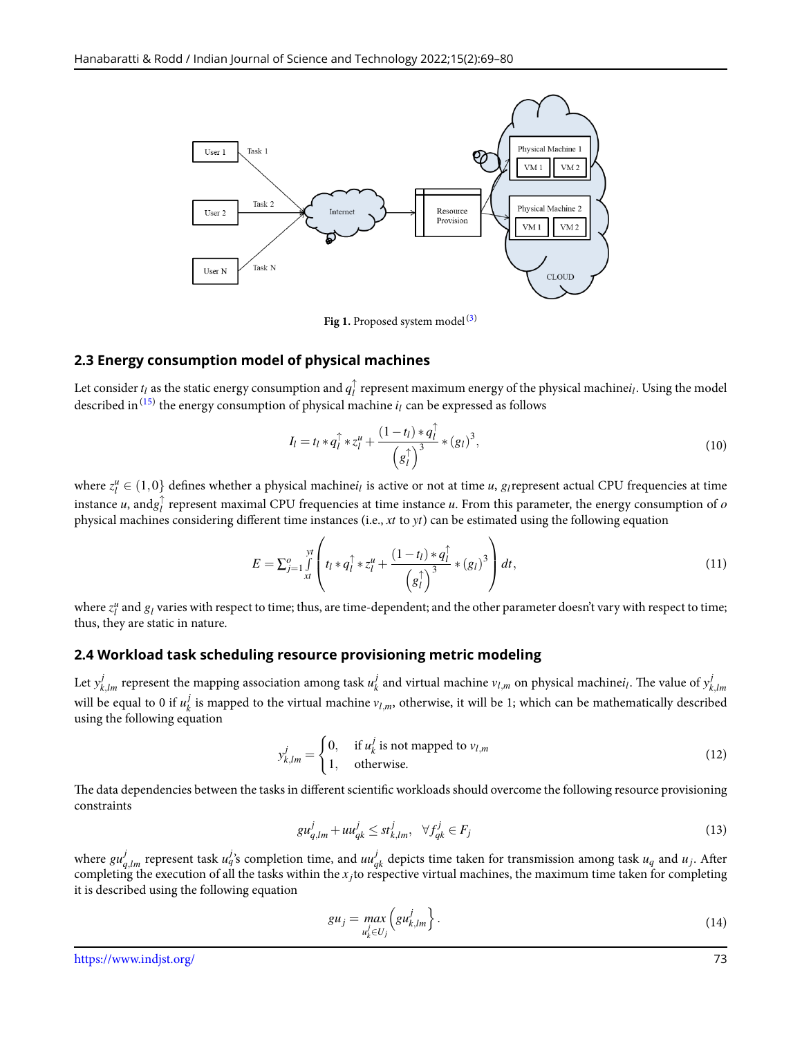

**Fig 1.** Proposed system model $(3)$  $(3)$ 

### **2.3 Energy consumption model of physical machines**

Let consider  $t_l$  as the static energy consumption and  $q_l^\uparrow$ *l* represent maximum energy of the physical machine*i<sup>l</sup>* . Using the model described in  $^{(15)}$  $^{(15)}$  $^{(15)}$  the energy consumption of physical machine  $i_l$  can be expressed as follows

$$
I_l = t_l * q_l^{\uparrow} * z_l^u + \frac{(1 - t_l) * q_l^{\uparrow}}{(g_l^{\uparrow})^3} * (g_l)^3,
$$
\n
$$
(10)
$$

where  $z_l^u \in (1,0)$  defines whether a physical machine $i_l$  is active or not at time *u*, *g*<sub>*l*</sub> represent actual CPU frequencies at time instance *u*, and $g_l^{\uparrow}$ *l* represent maximal CPU frequencies at time instance *u*. From this parameter, the energy consumption of *o* physical machines considering different time instances (i.e., *xt* to *yt*) can be estimated using the following equation

$$
E = \sum_{j=1}^{o} \int_{x}^{yt} \left( t_l * q_l^{\uparrow} * z_l^{\mu} + \frac{(1 - t_l) * q_l^{\uparrow}}{(g_l^{\uparrow})^3} * (g_l)^3 \right) dt,
$$
\n(11)

where  $z_l^u$  and  $g_l$  varies with respect to time; thus, are time-dependent; and the other parameter doesn't vary with respect to time; thus, they are static in nature.

### **2.4 Workload task scheduling resource provisioning metric modeling**

Let  $y_{k,lm}^j$  represent the mapping association among task  $u_k^j$  $\frac{d}{dx}$  and virtual machine  $v_{l,m}$  on physical machine $i_l$ . The value of  $y^j_k$ *k,lm* will be equal to 0 if  $u_k^j$  $k$  is mapped to the virtual machine  $v_{l,m}$ , otherwise, it will be 1; which can be mathematically described using the following equation

$$
y_{k,lm}^j = \begin{cases} 0, & \text{if } u_k^j \text{ is not mapped to } v_{l,m} \\ 1, & \text{otherwise.} \end{cases}
$$
 (12)

The data dependencies between the tasks in different scientific workloads should overcome the following resource provisioning constraints

$$
gu_{q,lm}^j + uu_{qk}^j \le st_{k,lm}^j, \quad \forall f_{qk}^j \in F_j
$$
\n
$$
(13)
$$

where  $g u_{q,lm}^j$  represent task  $u_q^j$ 's completion time, and  $u u_{qk}^j$  depicts time taken for transmission among task  $u_q$  and  $u_j$ . After completing the execution of all the tasks within the *x <sup>j</sup>*to respective virtual machines, the maximum time taken for completing it is described using the following equation

$$
gu_j = \max_{u_k^j \in U_j} \left( gu_{k,lm}^j \right). \tag{14}
$$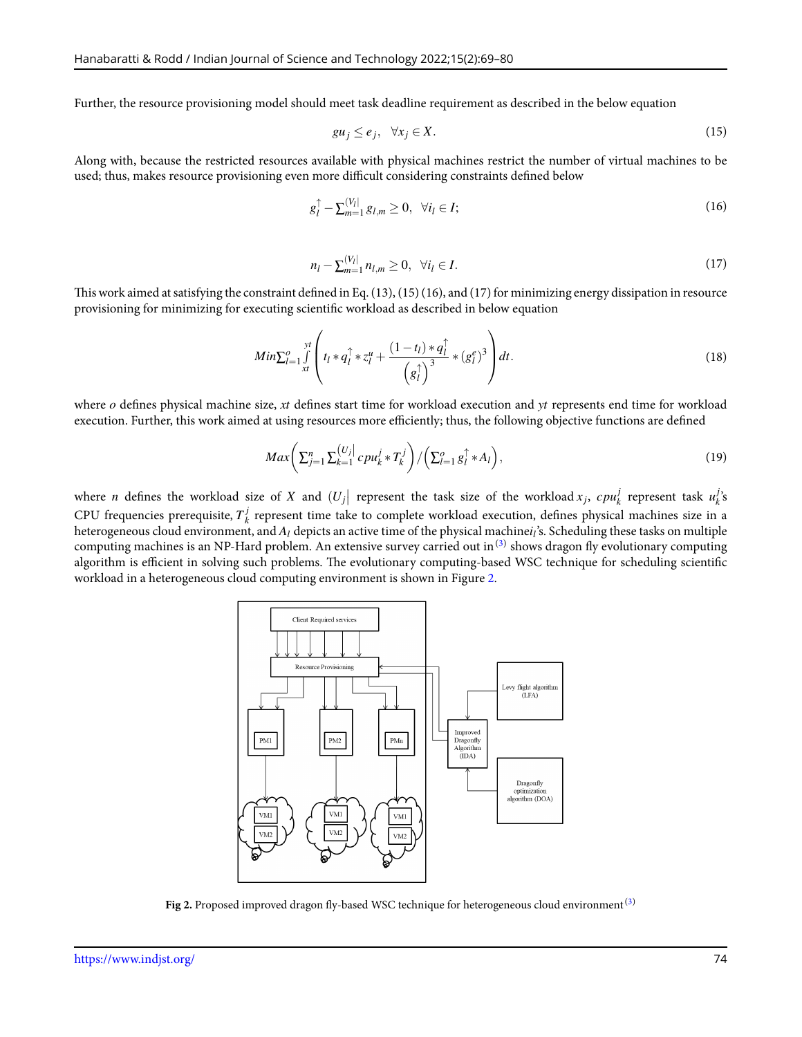Further, the resource provisioning model should meet task deadline requirement as described in the below equation

$$
gu_j \le e_j, \quad \forall x_j \in X. \tag{15}
$$

Along with, because the restricted resources available with physical machines restrict the number of virtual machines to be used; thus, makes resource provisioning even more difficult considering constraints defined below

$$
g_l^{\uparrow} - \sum_{m=1}^{[V_l]} g_{l,m} \ge 0, \ \forall i_l \in I; \tag{16}
$$

$$
n_l - \sum_{m=1}^{[V_l]} n_{l,m} \ge 0, \quad \forall i_l \in I.
$$
 (17)

This work aimed at satisfying the constraint defined in Eq. (13), (15) (16), and (17) for minimizing energy dissipation in resource provisioning for minimizing for executing scientific workload as described in below equation

$$
Min \sum_{l=1}^{0} \int_{xt}^{yt} \left( t_l * q_l^{\uparrow} * z_l^u + \frac{(1-t_l) * q_l^{\uparrow}}{\left( g_l^{\uparrow} \right)^3} * (g_l^e)^3 \right) dt. \tag{18}
$$

where *o* defines physical machine size, *xt* defines start time for workload execution and *yt* represents end time for workload execution. Further, this work aimed at using resources more efficiently; thus, the following objective functions are defined

$$
Max\left(\sum_{j=1}^{n}\sum_{k=1}^{\left\lfloor U_{j}\right\rfloor }cpu_{k}^{j}*T_{k}^{j}\right)/\left(\sum_{l=1}^{o}g_{l}^{\uparrow}*A_{l}\right),\tag{19}
$$

<span id="page-5-0"></span>where *n* defines the workload size of *X* and  $(U_j |$  represent the task size of the workload  $x_j$ ,  $cpu_k^j$  $\frac{d}{dx}$  represent task  $u_k^j$ *k* 's CPU frequencies prerequisite, *T j k* represent time take to complete workload execution, defines physical machines size in a heterogeneous cloud environment, and  $A_l$  depicts an active time of the physical machine $i_l$ 's. Scheduling these tasks on multiple computing machines is an NP-Hard problem. An extensive survey carried out in $^{(3)}$  $^{(3)}$  $^{(3)}$  shows dragon fly evolutionary computing algorithm is efficient in solving such problems. The evolutionary computing-based WSC technique for scheduling scientific workload in a heterogeneous cloud computing environment is shown in Figure [2](#page-5-0).



**Fig 2.** Proposed improved dragon fly-based WSC technique for heterogeneous cloud environment<sup>([3\)](#page-11-2)</sup>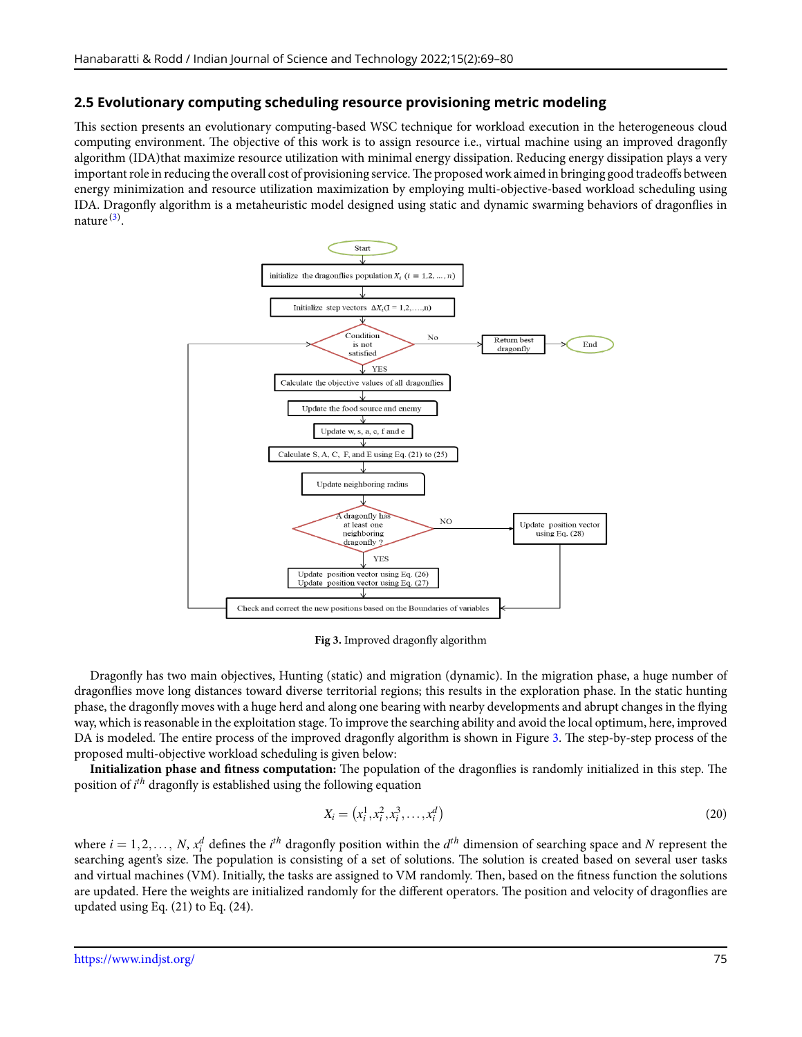### **2.5 Evolutionary computing scheduling resource provisioning metric modeling**

This section presents an evolutionary computing-based WSC technique for workload execution in the heterogeneous cloud computing environment. The objective of this work is to assign resource i.e., virtual machine using an improved dragonfly algorithm (IDA)that maximize resource utilization with minimal energy dissipation. Reducing energy dissipation plays a very important role in reducing the overall cost of provisioning service. The proposed work aimed in bringing good tradeoffs between energy minimization and resource utilization maximization by employing multi-objective-based workload scheduling using IDA. Dragonfly algorithm is a metaheuristic model designed using static and dynamic swarming behaviors of dragonflies in nature<sup>([3](#page-11-2))</sup>.

<span id="page-6-0"></span>

**Fig 3.** Improved dragonfly algorithm

Dragonfly has two main objectives, Hunting (static) and migration (dynamic). In the migration phase, a huge number of dragonflies move long distances toward diverse territorial regions; this results in the exploration phase. In the static hunting phase, the dragonfly moves with a huge herd and along one bearing with nearby developments and abrupt changes in the flying way, which is reasonable in the exploitation stage. To improve the searching ability and avoid the local optimum, here, improved DA is modeled. The entire process of the improved dragonfly algorithm is shown in Figure [3.](#page-6-0) The step-by-step process of the proposed multi-objective workload scheduling is given below:

**Initialization phase and fitness computation:** The population of the dragonflies is randomly initialized in this step. The position of *i th* dragonfly is established using the following equation

$$
X_i = (x_i^1, x_i^2, x_i^3, \dots, x_i^d) \tag{20}
$$

where  $i = 1, 2, ..., N$ ,  $x_i^d$  defines the  $i^{th}$  dragonfly position within the  $d^{th}$  dimension of searching space and *N* represent the searching agent's size. The population is consisting of a set of solutions. The solution is created based on several user tasks and virtual machines (VM). Initially, the tasks are assigned to VM randomly. Then, based on the fitness function the solutions are updated. Here the weights are initialized randomly for the different operators. The position and velocity of dragonflies are updated using Eq. (21) to Eq. (24).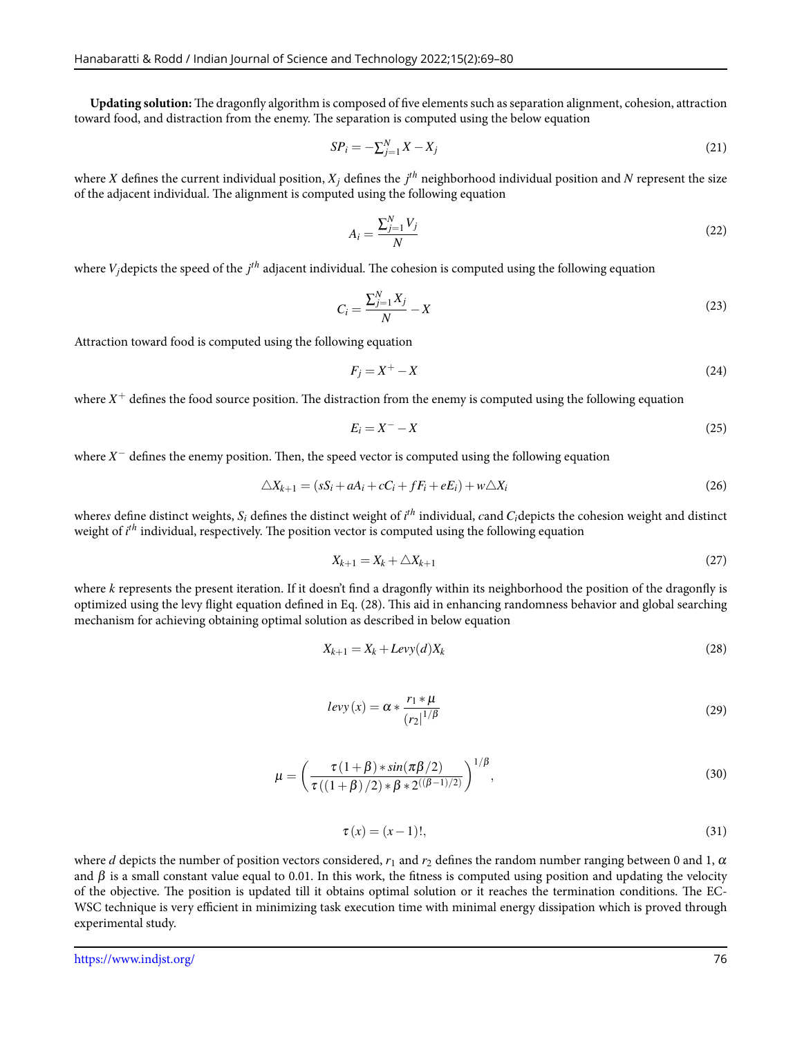**Updating solution:** The dragonfly algorithm is composed of five elements such as separation alignment, cohesion, attraction toward food, and distraction from the enemy. The separation is computed using the below equation

$$
SP_i = -\sum_{j=1}^{N} X - X_j \tag{21}
$$

where  $X$  defines the current individual position,  $X_j$  defines the  $j^{th}$  neighborhood individual position and  $N$  represent the size of the adjacent individual. The alignment is computed using the following equation

$$
A_i = \frac{\sum_{j=1}^{N} V_j}{N} \tag{22}
$$

where *Vj*depicts the speed of the *j th* adjacent individual. The cohesion is computed using the following equation

$$
C_i = \frac{\sum_{j=1}^{N} X_j}{N} - X \tag{23}
$$

Attraction toward food is computed using the following equation

$$
F_j = X^+ - X \tag{24}
$$

where  $X^+$  defines the food source position. The distraction from the enemy is computed using the following equation

$$
E_i = X^- - X \tag{25}
$$

where *X <sup>−</sup>* defines the enemy position. Then, the speed vector is computed using the following equation

$$
\triangle X_{k+1} = (sS_i + aA_i + cC_i + fF_i + eE_i) + w\triangle X_i
$$
\n
$$
(26)
$$

where $s$  define distinct weights,  $S_i$  defines the distinct weight of  $i^{th}$  individual,  $c$  and  $C_i$ depicts the cohesion weight and distinct weight of *i th* individual, respectively. The position vector is computed using the following equation

$$
X_{k+1} = X_k + \triangle X_{k+1} \tag{27}
$$

where *k* represents the present iteration. If it doesn't find a dragonfly within its neighborhood the position of the dragonfly is optimized using the levy flight equation defined in Eq. (28). This aid in enhancing randomness behavior and global searching mechanism for achieving obtaining optimal solution as described in below equation

$$
X_{k+1} = X_k + L \text{evy}(d) X_k \tag{28}
$$

$$
levy(x) = \alpha * \frac{r_1 * \mu}{\left(r_2\right)^{1/\beta}}\tag{29}
$$

$$
\mu = \left(\frac{\tau(1+\beta) * \sin(\pi\beta/2)}{\tau((1+\beta)/2) * \beta * 2^{((\beta-1)/2)}}\right)^{1/\beta},\tag{30}
$$

$$
\tau(x) = (x - 1)!,\tag{31}
$$

where *d* depicts the number of position vectors considered,  $r_1$  and  $r_2$  defines the random number ranging between 0 and 1,  $\alpha$ and  $\beta$  is a small constant value equal to 0.01. In this work, the fitness is computed using position and updating the velocity of the objective. The position is updated till it obtains optimal solution or it reaches the termination conditions. The EC-WSC technique is very efficient in minimizing task execution time with minimal energy dissipation which is proved through experimental study.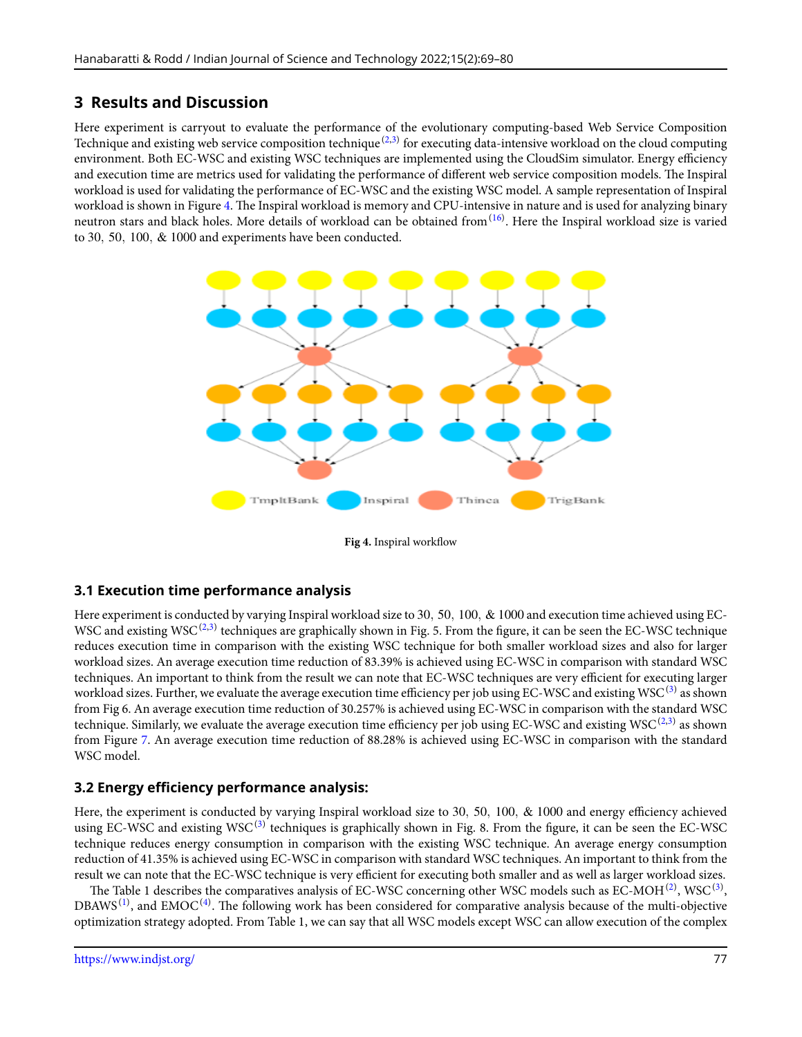# **3 Results and Discussion**

Here experiment is carryout to evaluate the performance of the evolutionary computing-based Web Service Composition Technique and existing web service composition technique $^{(2,3)}$  $^{(2,3)}$  $^{(2,3)}$  $^{(2,3)}$  for executing data-intensive workload on the cloud computing environment. Both EC-WSC and existing WSC techniques are implemented using the CloudSim simulator. Energy efficiency and execution time are metrics used for validating the performance of different web service composition models. The Inspiral workload is used for validating the performance of EC-WSC and the existing WSC model. A sample representation of Inspiral workload is shown in Figure [4.](#page-8-0) The Inspiral workload is memory and CPU-intensive in nature and is used for analyzing binary neutron stars and black holes. More details of workload can be obtained from<sup>([16\)](#page-11-15)</sup>. Here the Inspiral workload size is varied to 30*,* 50*,* 100*,* & 1000 and experiments have been conducted.

<span id="page-8-0"></span>

**Fig 4.** Inspiral workflow

### **3.1 Execution time performance analysis**

Here experiment is conducted by varying Inspiral workload size to 30*,* 50*,* 100*,* & 1000 and execution time achieved using EC-WSC and existing WSC $^{(2,3)}$  $^{(2,3)}$  $^{(2,3)}$  $^{(2,3)}$  techniques are graphically shown in Fig. 5. From the figure, it can be seen the EC-WSC technique reduces execution time in comparison with the existing WSC technique for both smaller workload sizes and also for larger workload sizes. An average execution time reduction of 83.39% is achieved using EC-WSC in comparison with standard WSC techniques. An important to think from the result we can note that EC-WSC techniques are very efficient for executing larger workload sizes. Further, we evaluate the average execution time efficiency per job using EC-WSC and existing WSC  $^{(3)}$  $^{(3)}$  $^{(3)}$  as shown from Fig 6. An average execution time reduction of 30.257% is achieved using EC-WSC in comparison with the standard WSC technique. Similarly, we evaluate the average execution time efficiency per job using EC-WSC and existing WSC $^{(2,3)}$  $^{(2,3)}$  $^{(2,3)}$  $^{(2,3)}$  $^{(2,3)}$  as shown from Figure [7.](#page-10-0) An average execution time reduction of 88.28% is achieved using EC-WSC in comparison with the standard WSC model.

### **3.2 Energy efficiency performance analysis:**

Here, the experiment is conducted by varying Inspiral workload size to 30*,* 50*,* 100*,* & 1000 and energy efficiency achieved using EC-WSC and existing WSC  $^{(3)}$  $^{(3)}$  $^{(3)}$  techniques is graphically shown in Fig. 8. From the figure, it can be seen the EC-WSC technique reduces energy consumption in comparison with the existing WSC technique. An average energy consumption reduction of 41.35% is achieved using EC-WSC in comparison with standard WSC techniques. An important to think from the result we can note that the EC-WSC technique is very efficient for executing both smaller and as well as larger workload sizes.

The Table 1 describes the comparatives analysis of EC-WSC concerning other WSC models such as EC-MOH  $^{(2)}$  $^{(2)}$  $^{(2)}$ , WSC  $^{(3)},$  $^{(3)},$  $^{(3)},$ DBAWS<sup>[\(1\)](#page-11-0)</sup>, and EMOC<sup>[\(4\)](#page-11-3)</sup>. The following work has been considered for comparative analysis because of the multi-objective optimization strategy adopted. From Table 1, we can say that all WSC models except WSC can allow execution of the complex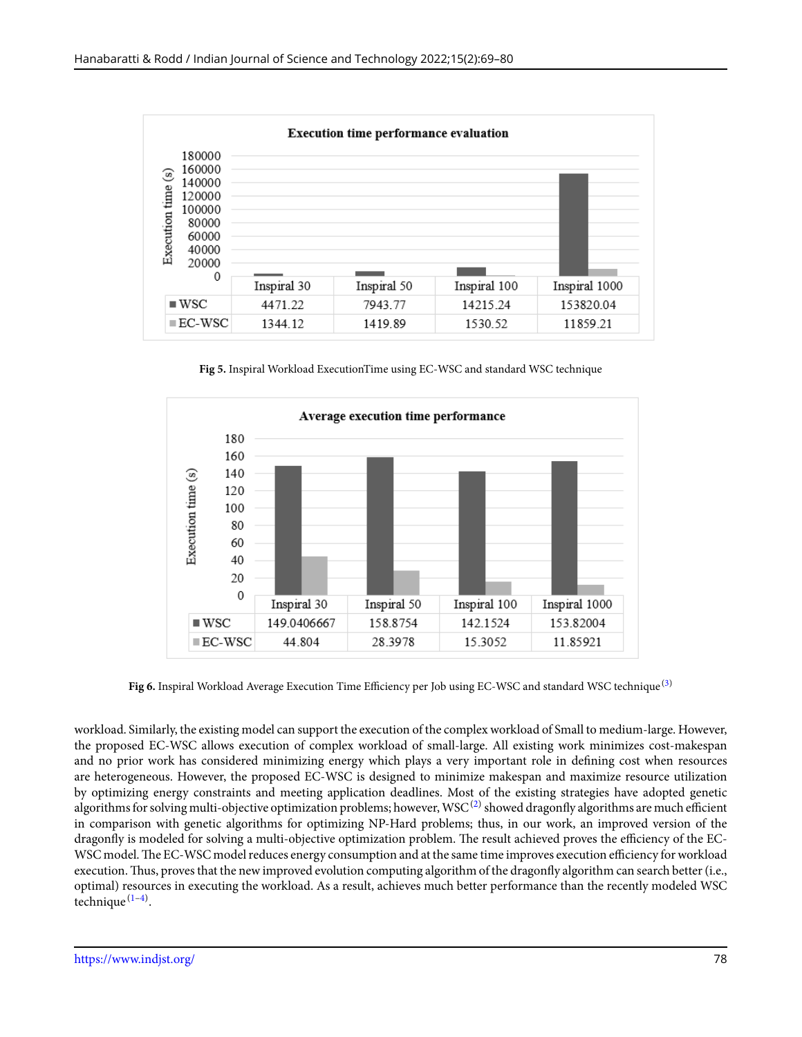

**Fig 5.** Inspiral Workload ExecutionTime using EC-WSC and standard WSC technique



**Fig 6.** Inspiral Workload Average Execution Time Efficiency per Job using EC-WSC and standard WSC technique ([3](#page-11-2))

workload. Similarly, the existing model can support the execution of the complex workload of Small to medium-large. However, the proposed EC-WSC allows execution of complex workload of small-large. All existing work minimizes cost-makespan and no prior work has considered minimizing energy which plays a very important role in defining cost when resources are heterogeneous. However, the proposed EC-WSC is designed to minimize makespan and maximize resource utilization by optimizing energy constraints and meeting application deadlines. Most of the existing strategies have adopted genetic algorithms for solving multi-objective optimization problems; however, WSC  $^{(2)}$  $^{(2)}$  $^{(2)}$  showed dragonfly algorithms are much efficient in comparison with genetic algorithms for optimizing NP-Hard problems; thus, in our work, an improved version of the dragonfly is modeled for solving a multi-objective optimization problem. The result achieved proves the efficiency of the EC-WSC model.The EC-WSC model reduces energy consumption and at the same time improves execution efficiency for workload execution.Thus, proves that the new improved evolution computing algorithm of the dragonfly algorithm can search better (i.e., optimal) resources in executing the workload. As a result, achieves much better performance than the recently modeled WSC technique<sup>([1](#page-11-0)-[4\)](#page-11-3)</sup>.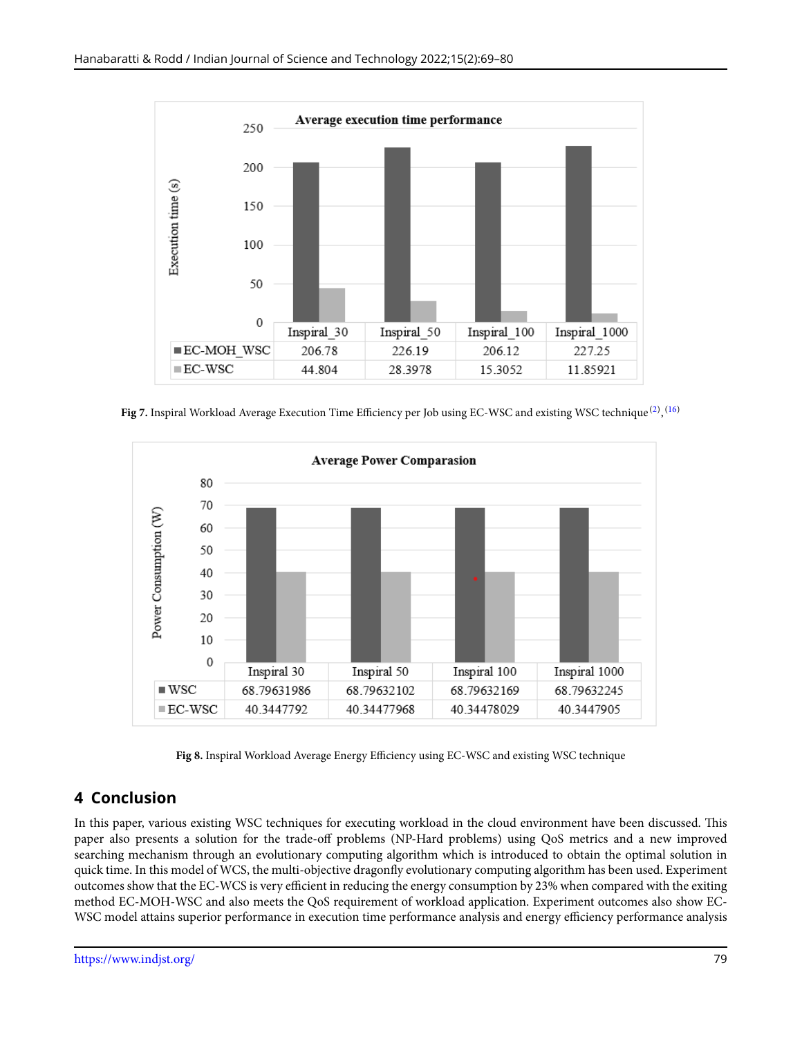<span id="page-10-0"></span>

**Fig 7.** Inspiral Workload Average Execution Time Efficiency per Job using EC-WSC and existing WSC technique <sup>[\(2\)](#page-11-1)</sup>, <sup>[\(16\)](#page-11-15)</sup>



**Fig 8.** Inspiral Workload Average Energy Efficiency using EC-WSC and existing WSC technique

# **4 Conclusion**

In this paper, various existing WSC techniques for executing workload in the cloud environment have been discussed. This paper also presents a solution for the trade-off problems (NP-Hard problems) using QoS metrics and a new improved searching mechanism through an evolutionary computing algorithm which is introduced to obtain the optimal solution in quick time. In this model of WCS, the multi-objective dragonfly evolutionary computing algorithm has been used. Experiment outcomes show that the EC-WCS is very efficient in reducing the energy consumption by 23% when compared with the exiting method EC-MOH-WSC and also meets the QoS requirement of workload application. Experiment outcomes also show EC-WSC model attains superior performance in execution time performance analysis and energy efficiency performance analysis